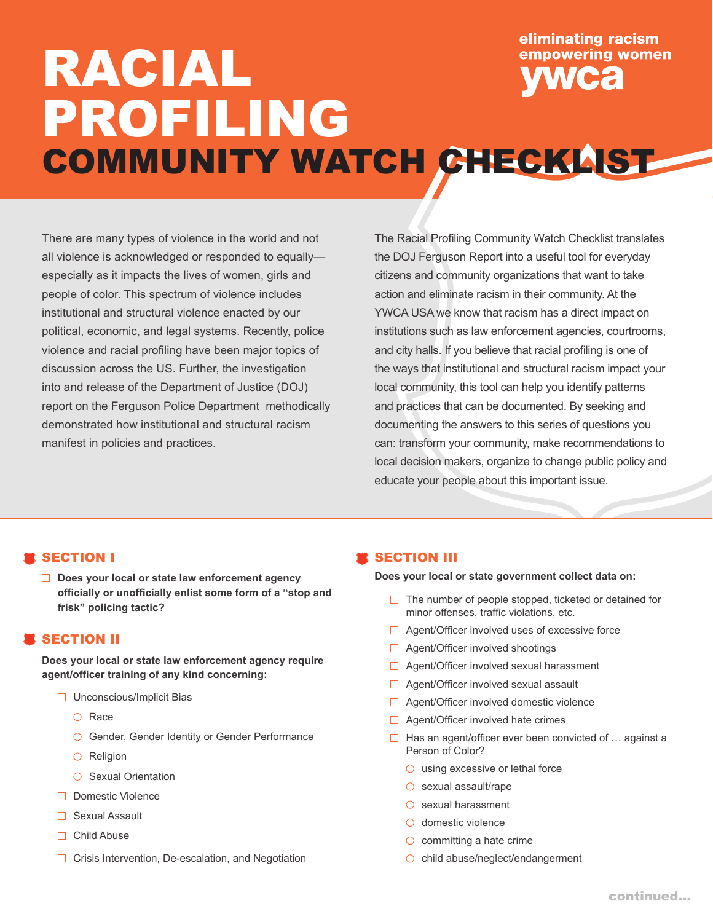# eliminating racism empowering women RACIAL PROFILING COMMUNITY WATCH CHECKLIST

There are many types of violence in the world and not all violence is acknowledged or responded to equally especially as it impacts the lives of women, girls and people of color. This spectrum of violence includes institutional and structural violence enacted by our political, economic, and legal systems. Recently, police violence and racial profiling have been major topics of discussion across the US. Further, the investigation into and release of the Department of Justice (DOJ) report on the Ferguson Police Department methodically demonstrated how institutional and structural racism manifest in policies and practices.

The Racial Profiling Community Watch Checklist translates the DOJ Ferguson Report into a useful tool for everyday citizens and community organizations that want to take action and eliminate racism in their community. At the YWCA USA we know that racism has a direct impact on institutions such as law enforcement agencies, courtrooms, and city halls. If you believe that racial profiling is one of the ways that institutional and structural racism impact your local community, this tool can help you identify patterns and practices that can be documented. By seeking and documenting the answers to this series of questions you can: transform your community, make recommendations to local decision makers, organize to change public policy and educate your people about this important issue.

## SECTION I

**Does your local or state law enforcement agency officially or unofficially enlist some form of a "stop and frisk" policing tactic?**

## **SECTION II**

**Does your local or state law enforcement agency require agent/officer training of any kind concerning:**

- $\Box$  Unconscious/Implicit Bias
	- $\bigcirc$  Race
	- **Gender, Gender Identity or Gender Performance**
	- $O$  Religion
	- $\bigcirc$  Sexual Orientation
- □ Domestic Violence
- □ Sexual Assault
- □ Child Abuse
- $\Box$  Crisis Intervention, De-escalation, and Negotiation

#### SECTION III

**Does your local or state government collect data on:**

- $\Box$  The number of people stopped, ticketed or detained for minor offenses, traffic violations, etc.
- □ Agent/Officer involved uses of excessive force
- □ Agent/Officer involved shootings
- □ Agent/Officer involved sexual harassment
- $\Box$  Agent/Officer involved sexual assault
- □ Agent/Officer involved domestic violence
- $\Box$  Agent/Officer involved hate crimes
- $\Box$  Has an agent/officer ever been convicted of ... against a Person of Color?
	- $\circ$  using excessive or lethal force
	- $\circ$  sexual assault/rape
	- $\circ$  sexual harassment
	- $\bigcirc$  domestic violence
	- $\circlearrowright$  committing a hate crime
	- $\bigcirc$  child abuse/neglect/endangerment